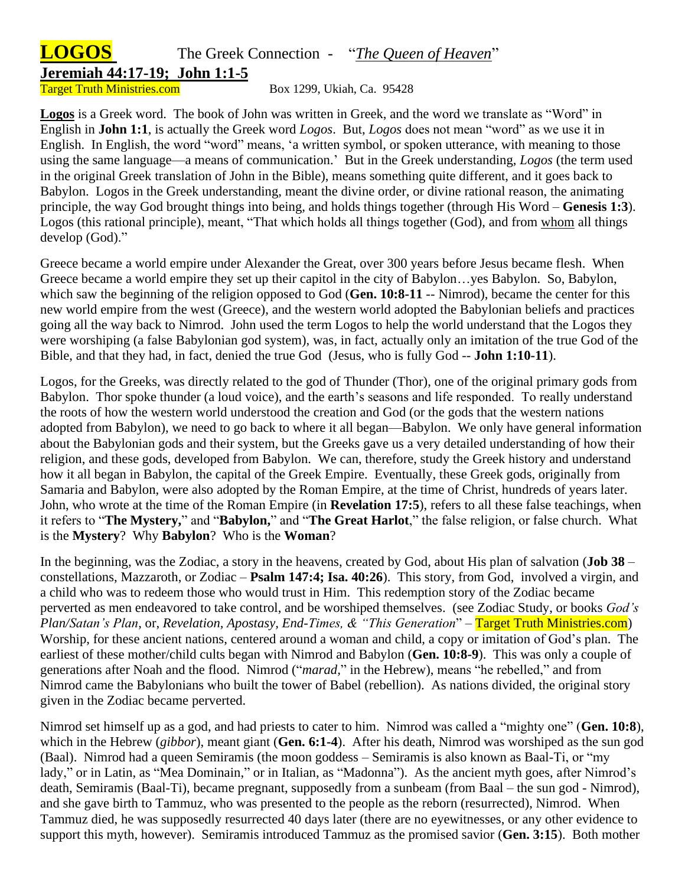## **LOGOS** The Greek Connection - "*The Queen of Heaven*"

**Jeremiah 44:17-19; John 1:1-5**

Target Truth Ministries.com Box 1299, Ukiah, Ca. 95428

**Logos** is a Greek word. The book of John was written in Greek, and the word we translate as "Word" in English in **John 1:1**, is actually the Greek word *Logos*. But, *Logos* does not mean "word" as we use it in English. In English, the word "word" means, 'a written symbol, or spoken utterance, with meaning to those using the same language—a means of communication.' But in the Greek understanding, *Logos* (the term used in the original Greek translation of John in the Bible), means something quite different, and it goes back to Babylon. Logos in the Greek understanding, meant the divine order, or divine rational reason, the animating principle, the way God brought things into being, and holds things together (through His Word – **Genesis 1:3**). Logos (this rational principle), meant, "That which holds all things together (God), and from whom all things develop (God)."

Greece became a world empire under Alexander the Great, over 300 years before Jesus became flesh. When Greece became a world empire they set up their capitol in the city of Babylon…yes Babylon. So, Babylon, which saw the beginning of the religion opposed to God (**Gen. 10:8-11** -- Nimrod), became the center for this new world empire from the west (Greece), and the western world adopted the Babylonian beliefs and practices going all the way back to Nimrod. John used the term Logos to help the world understand that the Logos they were worshiping (a false Babylonian god system), was, in fact, actually only an imitation of the true God of the Bible, and that they had, in fact, denied the true God (Jesus, who is fully God -- **John 1:10-11**).

Logos, for the Greeks, was directly related to the god of Thunder (Thor), one of the original primary gods from Babylon. Thor spoke thunder (a loud voice), and the earth's seasons and life responded. To really understand the roots of how the western world understood the creation and God (or the gods that the western nations adopted from Babylon), we need to go back to where it all began—Babylon. We only have general information about the Babylonian gods and their system, but the Greeks gave us a very detailed understanding of how their religion, and these gods, developed from Babylon. We can, therefore, study the Greek history and understand how it all began in Babylon, the capital of the Greek Empire. Eventually, these Greek gods, originally from Samaria and Babylon, were also adopted by the Roman Empire, at the time of Christ, hundreds of years later. John, who wrote at the time of the Roman Empire (in **Revelation 17:5**), refers to all these false teachings, when it refers to "**The Mystery,**" and "**Babylon,**" and "**The Great Harlot**," the false religion, or false church. What is the **Mystery**? Why **Babylon**? Who is the **Woman**?

In the beginning, was the Zodiac, a story in the heavens, created by God, about His plan of salvation (**Job 38** – constellations, Mazzaroth, or Zodiac – **Psalm 147:4; Isa. 40:26**). This story, from God, involved a virgin, and a child who was to redeem those who would trust in Him. This redemption story of the Zodiac became perverted as men endeavored to take control, and be worshiped themselves. (see Zodiac Study, or books *God's Plan/Satan's Plan*, or, *Revelation, Apostasy, End-Times, & "This Generation*" – Target Truth Ministries.com) Worship, for these ancient nations, centered around a woman and child, a copy or imitation of God's plan. The earliest of these mother/child cults began with Nimrod and Babylon (**Gen. 10:8-9**). This was only a couple of generations after Noah and the flood. Nimrod ("*marad,*" in the Hebrew), means "he rebelled," and from Nimrod came the Babylonians who built the tower of Babel (rebellion). As nations divided, the original story given in the Zodiac became perverted.

Nimrod set himself up as a god, and had priests to cater to him. Nimrod was called a "mighty one" (**Gen. 10:8**), which in the Hebrew (*gibbor*), meant giant (**Gen. 6:1-4**). After his death, Nimrod was worshiped as the sun god (Baal). Nimrod had a queen Semiramis (the moon goddess – Semiramis is also known as Baal-Ti, or "my lady," or in Latin, as "Mea Dominain," or in Italian, as "Madonna"). As the ancient myth goes, after Nimrod's death, Semiramis (Baal-Ti), became pregnant, supposedly from a sunbeam (from Baal – the sun god - Nimrod), and she gave birth to Tammuz, who was presented to the people as the reborn (resurrected), Nimrod. When Tammuz died, he was supposedly resurrected 40 days later (there are no eyewitnesses, or any other evidence to support this myth, however). Semiramis introduced Tammuz as the promised savior (**Gen. 3:15**). Both mother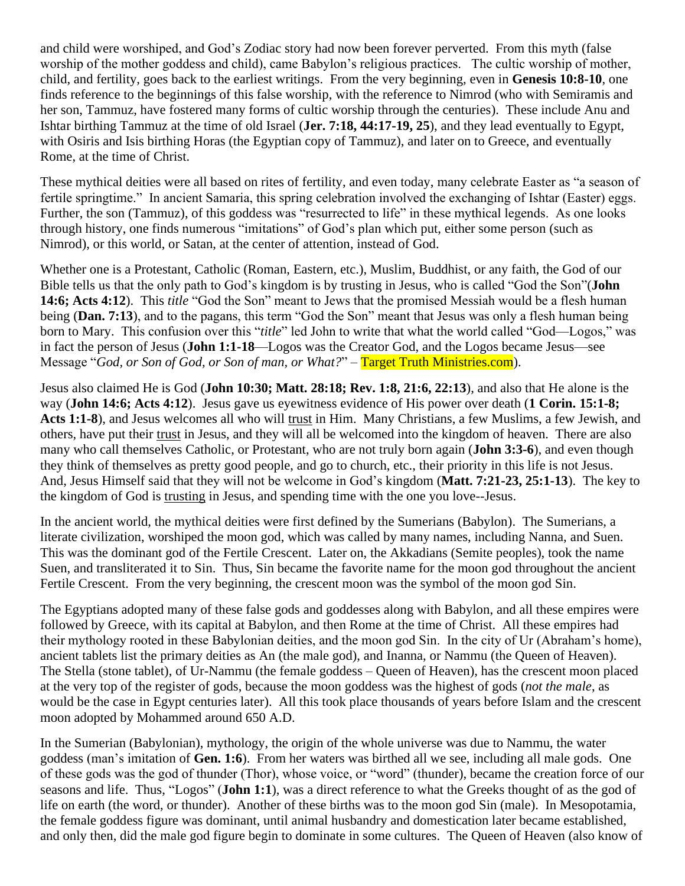and child were worshiped, and God's Zodiac story had now been forever perverted. From this myth (false worship of the mother goddess and child), came Babylon's religious practices. The cultic worship of mother, child, and fertility, goes back to the earliest writings. From the very beginning, even in **Genesis 10:8-10**, one finds reference to the beginnings of this false worship, with the reference to Nimrod (who with Semiramis and her son, Tammuz, have fostered many forms of cultic worship through the centuries). These include Anu and Ishtar birthing Tammuz at the time of old Israel (**Jer. 7:18, 44:17-19, 25**), and they lead eventually to Egypt, with Osiris and Isis birthing Horas (the Egyptian copy of Tammuz), and later on to Greece, and eventually Rome, at the time of Christ.

These mythical deities were all based on rites of fertility, and even today, many celebrate Easter as "a season of fertile springtime." In ancient Samaria, this spring celebration involved the exchanging of Ishtar (Easter) eggs. Further, the son (Tammuz), of this goddess was "resurrected to life" in these mythical legends. As one looks through history, one finds numerous "imitations" of God's plan which put, either some person (such as Nimrod), or this world, or Satan, at the center of attention, instead of God.

Whether one is a Protestant, Catholic (Roman, Eastern, etc.), Muslim, Buddhist, or any faith, the God of our Bible tells us that the only path to God's kingdom is by trusting in Jesus, who is called "God the Son"(**John 14:6; Acts 4:12**). This *title* "God the Son" meant to Jews that the promised Messiah would be a flesh human being (**Dan. 7:13**), and to the pagans, this term "God the Son" meant that Jesus was only a flesh human being born to Mary. This confusion over this "*title*" led John to write that what the world called "God—Logos," was in fact the person of Jesus (**John 1:1-18**—Logos was the Creator God, and the Logos became Jesus—see Message "*God, or Son of God, or Son of man, or What?*" – Target Truth Ministries.com).

Jesus also claimed He is God (**John 10:30; Matt. 28:18; Rev. 1:8, 21:6, 22:13**), and also that He alone is the way (**John 14:6; Acts 4:12**). Jesus gave us eyewitness evidence of His power over death (**1 Corin. 15:1-8; Acts 1:1-8**), and Jesus welcomes all who will trust in Him. Many Christians, a few Muslims, a few Jewish, and others, have put their trust in Jesus, and they will all be welcomed into the kingdom of heaven. There are also many who call themselves Catholic, or Protestant, who are not truly born again (**John 3:3-6**), and even though they think of themselves as pretty good people, and go to church, etc., their priority in this life is not Jesus. And, Jesus Himself said that they will not be welcome in God's kingdom (**Matt. 7:21-23, 25:1-13**). The key to the kingdom of God is trusting in Jesus, and spending time with the one you love--Jesus.

In the ancient world, the mythical deities were first defined by the Sumerians (Babylon). The Sumerians, a literate civilization, worshiped the moon god, which was called by many names, including Nanna, and Suen. This was the dominant god of the Fertile Crescent. Later on, the Akkadians (Semite peoples), took the name Suen, and transliterated it to Sin. Thus, Sin became the favorite name for the moon god throughout the ancient Fertile Crescent. From the very beginning, the crescent moon was the symbol of the moon god Sin.

The Egyptians adopted many of these false gods and goddesses along with Babylon, and all these empires were followed by Greece, with its capital at Babylon, and then Rome at the time of Christ. All these empires had their mythology rooted in these Babylonian deities, and the moon god Sin. In the city of Ur (Abraham's home), ancient tablets list the primary deities as An (the male god), and Inanna, or Nammu (the Queen of Heaven). The Stella (stone tablet), of Ur-Nammu (the female goddess – Queen of Heaven), has the crescent moon placed at the very top of the register of gods, because the moon goddess was the highest of gods (*not the male*, as would be the case in Egypt centuries later). All this took place thousands of years before Islam and the crescent moon adopted by Mohammed around 650 A.D.

In the Sumerian (Babylonian), mythology, the origin of the whole universe was due to Nammu, the water goddess (man's imitation of **Gen. 1:6**). From her waters was birthed all we see, including all male gods. One of these gods was the god of thunder (Thor), whose voice, or "word" (thunder), became the creation force of our seasons and life. Thus, "Logos" (**John 1:1**), was a direct reference to what the Greeks thought of as the god of life on earth (the word, or thunder). Another of these births was to the moon god Sin (male). In Mesopotamia, the female goddess figure was dominant, until animal husbandry and domestication later became established, and only then, did the male god figure begin to dominate in some cultures. The Queen of Heaven (also know of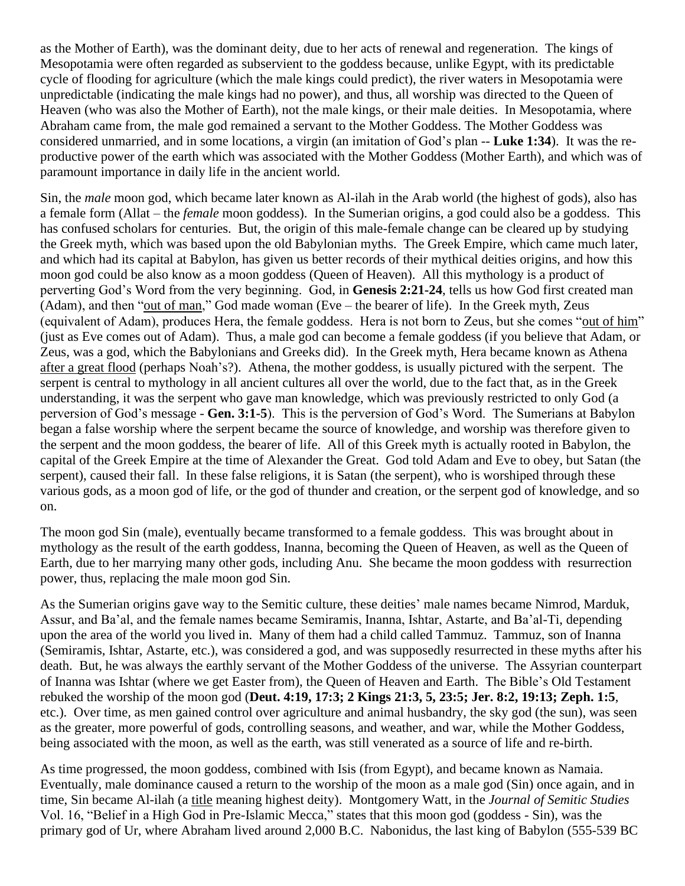as the Mother of Earth), was the dominant deity, due to her acts of renewal and regeneration. The kings of Mesopotamia were often regarded as subservient to the goddess because, unlike Egypt, with its predictable cycle of flooding for agriculture (which the male kings could predict), the river waters in Mesopotamia were unpredictable (indicating the male kings had no power), and thus, all worship was directed to the Queen of Heaven (who was also the Mother of Earth), not the male kings, or their male deities. In Mesopotamia, where Abraham came from, the male god remained a servant to the Mother Goddess. The Mother Goddess was considered unmarried, and in some locations, a virgin (an imitation of God's plan -- **Luke 1:34**). It was the reproductive power of the earth which was associated with the Mother Goddess (Mother Earth), and which was of paramount importance in daily life in the ancient world.

Sin, the *male* moon god, which became later known as Al-ilah in the Arab world (the highest of gods), also has a female form (Allat – the *female* moon goddess). In the Sumerian origins, a god could also be a goddess. This has confused scholars for centuries. But, the origin of this male-female change can be cleared up by studying the Greek myth, which was based upon the old Babylonian myths. The Greek Empire, which came much later, and which had its capital at Babylon, has given us better records of their mythical deities origins, and how this moon god could be also know as a moon goddess (Queen of Heaven). All this mythology is a product of perverting God's Word from the very beginning. God, in **Genesis 2:21-24**, tells us how God first created man (Adam), and then "out of man," God made woman (Eve – the bearer of life). In the Greek myth, Zeus (equivalent of Adam), produces Hera, the female goddess. Hera is not born to Zeus, but she comes "out of him" (just as Eve comes out of Adam). Thus, a male god can become a female goddess (if you believe that Adam, or Zeus, was a god, which the Babylonians and Greeks did). In the Greek myth, Hera became known as Athena after a great flood (perhaps Noah's?). Athena, the mother goddess, is usually pictured with the serpent. The serpent is central to mythology in all ancient cultures all over the world, due to the fact that, as in the Greek understanding, it was the serpent who gave man knowledge, which was previously restricted to only God (a perversion of God's message - **Gen. 3:1-5**). This is the perversion of God's Word. The Sumerians at Babylon began a false worship where the serpent became the source of knowledge, and worship was therefore given to the serpent and the moon goddess, the bearer of life. All of this Greek myth is actually rooted in Babylon, the capital of the Greek Empire at the time of Alexander the Great. God told Adam and Eve to obey, but Satan (the serpent), caused their fall. In these false religions, it is Satan (the serpent), who is worshiped through these various gods, as a moon god of life, or the god of thunder and creation, or the serpent god of knowledge, and so on.

The moon god Sin (male), eventually became transformed to a female goddess. This was brought about in mythology as the result of the earth goddess, Inanna, becoming the Queen of Heaven, as well as the Queen of Earth, due to her marrying many other gods, including Anu. She became the moon goddess with resurrection power, thus, replacing the male moon god Sin.

As the Sumerian origins gave way to the Semitic culture, these deities' male names became Nimrod, Marduk, Assur, and Ba'al, and the female names became Semiramis, Inanna, Ishtar, Astarte, and Ba'al-Ti, depending upon the area of the world you lived in. Many of them had a child called Tammuz. Tammuz, son of Inanna (Semiramis, Ishtar, Astarte, etc.), was considered a god, and was supposedly resurrected in these myths after his death. But, he was always the earthly servant of the Mother Goddess of the universe. The Assyrian counterpart of Inanna was Ishtar (where we get Easter from), the Queen of Heaven and Earth. The Bible's Old Testament rebuked the worship of the moon god (**Deut. 4:19, 17:3; 2 Kings 21:3, 5, 23:5; Jer. 8:2, 19:13; Zeph. 1:5**, etc.). Over time, as men gained control over agriculture and animal husbandry, the sky god (the sun), was seen as the greater, more powerful of gods, controlling seasons, and weather, and war, while the Mother Goddess, being associated with the moon, as well as the earth, was still venerated as a source of life and re-birth.

As time progressed, the moon goddess, combined with Isis (from Egypt), and became known as Namaia. Eventually, male dominance caused a return to the worship of the moon as a male god (Sin) once again, and in time, Sin became Al-ilah (a title meaning highest deity). Montgomery Watt, in the *Journal of Semitic Studies* Vol. 16, "Belief in a High God in Pre-Islamic Mecca," states that this moon god (goddess - Sin), was the primary god of Ur, where Abraham lived around 2,000 B.C. Nabonidus, the last king of Babylon (555-539 BC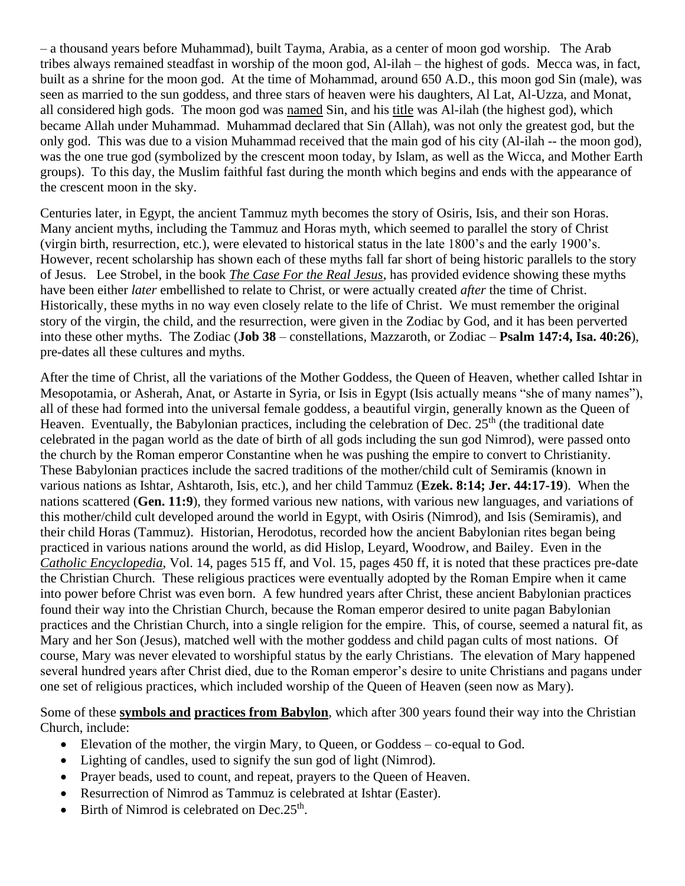– a thousand years before Muhammad), built Tayma, Arabia, as a center of moon god worship. The Arab tribes always remained steadfast in worship of the moon god, Al-ilah – the highest of gods. Mecca was, in fact, built as a shrine for the moon god. At the time of Mohammad, around 650 A.D., this moon god Sin (male), was seen as married to the sun goddess, and three stars of heaven were his daughters, Al Lat, Al-Uzza, and Monat, all considered high gods. The moon god was named Sin, and his title was Al-ilah (the highest god), which became Allah under Muhammad. Muhammad declared that Sin (Allah), was not only the greatest god, but the only god. This was due to a vision Muhammad received that the main god of his city (Al-ilah -- the moon god), was the one true god (symbolized by the crescent moon today, by Islam, as well as the Wicca, and Mother Earth groups). To this day, the Muslim faithful fast during the month which begins and ends with the appearance of the crescent moon in the sky.

Centuries later, in Egypt, the ancient Tammuz myth becomes the story of Osiris, Isis, and their son Horas. Many ancient myths, including the Tammuz and Horas myth, which seemed to parallel the story of Christ (virgin birth, resurrection, etc.), were elevated to historical status in the late 1800's and the early 1900's. However, recent scholarship has shown each of these myths fall far short of being historic parallels to the story of Jesus. Lee Strobel, in the book *The Case For the Real Jesus*, has provided evidence showing these myths have been either *later* embellished to relate to Christ, or were actually created *after* the time of Christ. Historically, these myths in no way even closely relate to the life of Christ. We must remember the original story of the virgin, the child, and the resurrection, were given in the Zodiac by God, and it has been perverted into these other myths. The Zodiac (**Job 38** – constellations, Mazzaroth, or Zodiac – **Psalm 147:4, Isa. 40:26**), pre-dates all these cultures and myths.

After the time of Christ, all the variations of the Mother Goddess, the Queen of Heaven, whether called Ishtar in Mesopotamia, or Asherah, Anat, or Astarte in Syria, or Isis in Egypt (Isis actually means "she of many names"), all of these had formed into the universal female goddess, a beautiful virgin, generally known as the Queen of Heaven. Eventually, the Babylonian practices, including the celebration of Dec.  $25<sup>th</sup>$  (the traditional date celebrated in the pagan world as the date of birth of all gods including the sun god Nimrod), were passed onto the church by the Roman emperor Constantine when he was pushing the empire to convert to Christianity. These Babylonian practices include the sacred traditions of the mother/child cult of Semiramis (known in various nations as Ishtar, Ashtaroth, Isis, etc.), and her child Tammuz (**Ezek. 8:14; Jer. 44:17-19**). When the nations scattered (**Gen. 11:9**), they formed various new nations, with various new languages, and variations of this mother/child cult developed around the world in Egypt, with Osiris (Nimrod), and Isis (Semiramis), and their child Horas (Tammuz). Historian, Herodotus, recorded how the ancient Babylonian rites began being practiced in various nations around the world, as did Hislop, Leyard, Woodrow, and Bailey. Even in the *Catholic Encyclopedia*, Vol. 14, pages 515 ff, and Vol. 15, pages 450 ff, it is noted that these practices pre-date the Christian Church. These religious practices were eventually adopted by the Roman Empire when it came into power before Christ was even born. A few hundred years after Christ, these ancient Babylonian practices found their way into the Christian Church, because the Roman emperor desired to unite pagan Babylonian practices and the Christian Church, into a single religion for the empire. This, of course, seemed a natural fit, as Mary and her Son (Jesus), matched well with the mother goddess and child pagan cults of most nations. Of course, Mary was never elevated to worshipful status by the early Christians. The elevation of Mary happened several hundred years after Christ died, due to the Roman emperor's desire to unite Christians and pagans under one set of religious practices, which included worship of the Queen of Heaven (seen now as Mary).

Some of these **symbols and practices from Babylon**, which after 300 years found their way into the Christian Church, include:

- Elevation of the mother, the virgin Mary, to Queen, or Goddess co-equal to God.
- Lighting of candles, used to signify the sun god of light (Nimrod).
- Prayer beads, used to count, and repeat, prayers to the Queen of Heaven.
- Resurrection of Nimrod as Tammuz is celebrated at Ishtar (Easter).
- Birth of Nimrod is celebrated on Dec.  $25<sup>th</sup>$ .